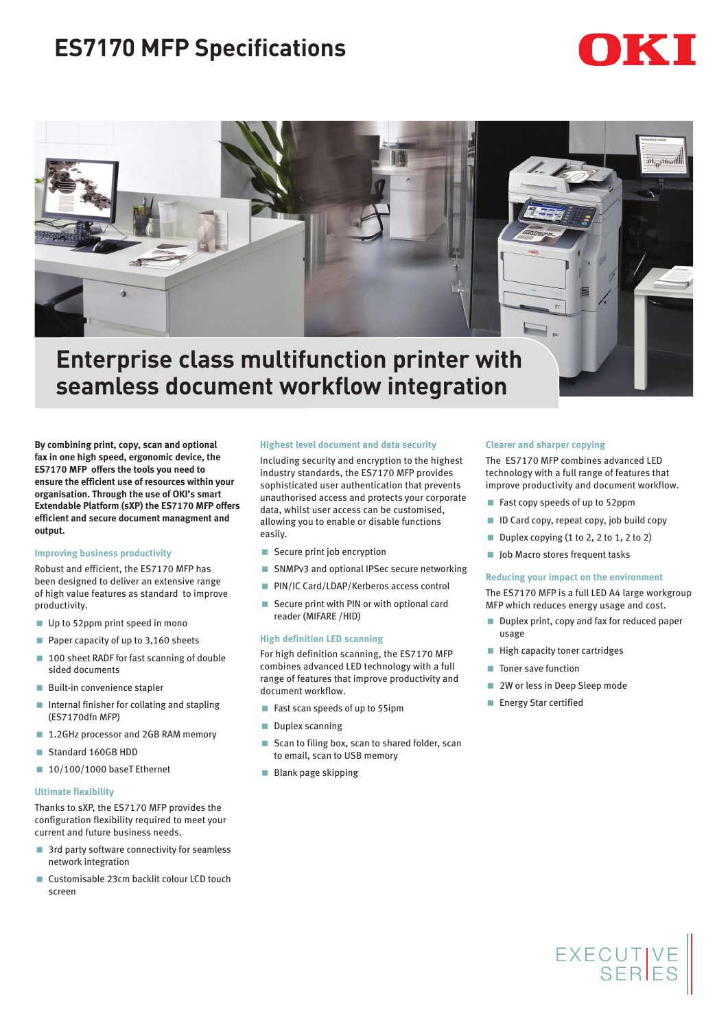# **ES7170 MFP Specifications**





## **Enterprise class multifunction printer with seamless document workflow integration**

**By combining print, copy, scan and optional fax in one high speed, ergonomic device, the ES7170 MFP offers the tools you need to ensure the efficient use of resources within your organisation. Through the use of OKI's smart Extendable Platform (sXP) the ES7170 MFP offers efficient and secure document managment and output.**

### **Improving business productivity**

Robust and efficient, the ES7170 MFP has been designed to deliver an extensive range of high value features as standard to improve productivity.

- Up to 52ppm print speed in mono
- Paper capacity of up to 3,160 sheets
- 100 sheet RADF for fast scanning of double sided documents
- **Built-in convenience stapler**
- Internal finisher for collating and stapling (ES7170dfn MFP)
- 1.2GHz processor and 2GB RAM memory
- Standard 160GB HDD
- 10/100/1000 baseT Ethernet

#### **Ultimate flexibility**

Thanks to sXP, the ES7170 MFP provides the configuration flexibility required to meet your current and future business needs.

- 3rd party software connectivity for seamless network integration
- Customisable 23cm backlit colour LCD touch screen

#### **Highest level document and data security**

Including security and encryption to the highest industry standards, the ES7170 MFP provides sophisticated user authentication that prevents unauthorised access and protects your corporate data, whilst user access can be customised, allowing you to enable or disable functions easily.

- Secure print job encryption
- SNMPv3 and optional IPSec secure networking
- **PIN/IC Card/LDAP/Kerberos access control**
- Secure print with PIN or with optional card reader (MIFARE /HID)

#### **High definition LED scanning**

For high definition scanning, the ES7170 MFP combines advanced LED technology with a full range of features that improve productivity and document workflow.

- Fast scan speeds of up to 55ipm
- Duplex scanning
- Scan to filing box, scan to shared folder, scan to email, scan to USB memory
- **Blank page skipping**

#### **Clearer and sharper copying**

The ES7170 MFP combines advanced LED technology with a full range of features that improve productivity and document workflow.

- Fast copy speeds of up to 52ppm
- ID Card copy, repeat copy, job build copy
- Duplex copying  $(1 to 2, 2 to 1, 2 to 2)$
- Job Macro stores frequent tasks

#### **Reducing your impact on the environment**

The ES7170 MFP is a full LED A4 large workgroup MFP which reduces energy usage and cost.

- Duplex print, copy and fax for reduced paper usage
- **High capacity toner cartridges**
- Toner save function
- 2W or less in Deep Sleep mode
- Energy Star certified